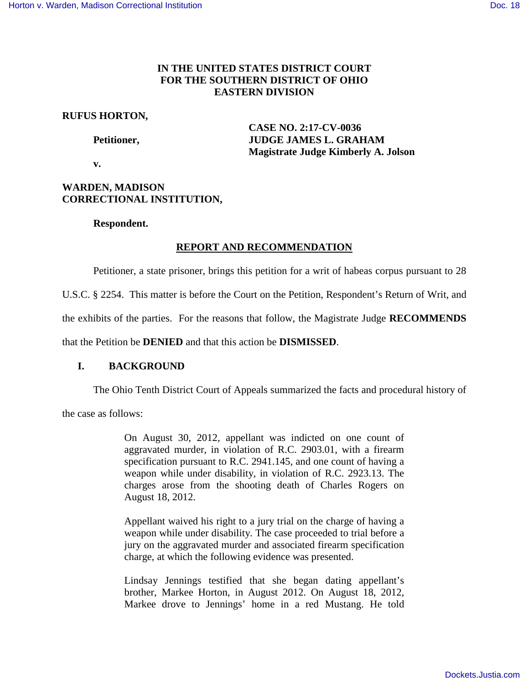# **IN THE UNITED STATES DISTRICT COURT FOR THE SOUTHERN DISTRICT OF OHIO EASTERN DIVISION**

## **RUFUS HORTON,**

 **CASE NO. 2:17-CV-0036**  Petitioner, **JUDGE JAMES L. GRAHAM Magistrate Judge Kimberly A. Jolson** 

 **v.** 

# **WARDEN, MADISON CORRECTIONAL INSTITUTION,**

# **Respondent.**

# **REPORT AND RECOMMENDATION**

Petitioner, a state prisoner, brings this petition for a writ of habeas corpus pursuant to 28

U.S.C. § 2254. This matter is before the Court on the Petition, Respondent's Return of Writ, and

the exhibits of the parties. For the reasons that follow, the Magistrate Judge **RECOMMENDS** 

that the Petition be **DENIED** and that this action be **DISMISSED**.

# **I. BACKGROUND**

The Ohio Tenth District Court of Appeals summarized the facts and procedural history of

the case as follows:

On August 30, 2012, appellant was indicted on one count of aggravated murder, in violation of R.C. 2903.01, with a firearm specification pursuant to R.C. 2941.145, and one count of having a weapon while under disability, in violation of R.C. 2923.13. The charges arose from the shooting death of Charles Rogers on August 18, 2012.

Appellant waived his right to a jury trial on the charge of having a weapon while under disability. The case proceeded to trial before a jury on the aggravated murder and associated firearm specification charge, at which the following evidence was presented.

Lindsay Jennings testified that she began dating appellant's brother, Markee Horton, in August 2012. On August 18, 2012, Markee drove to Jennings' home in a red Mustang. He told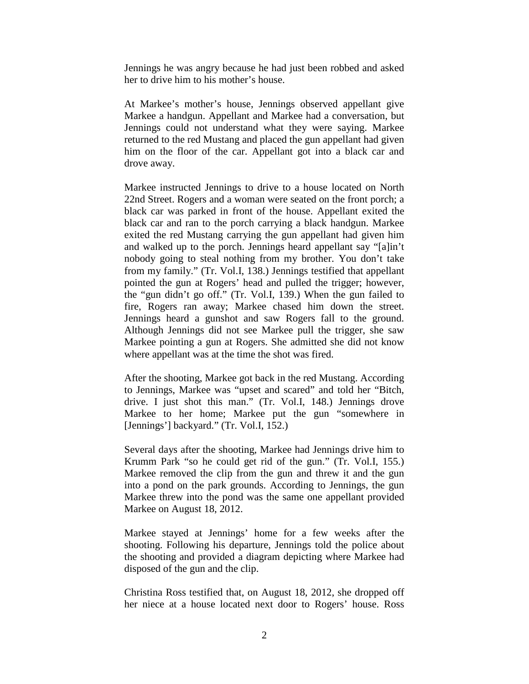Jennings he was angry because he had just been robbed and asked her to drive him to his mother's house.

At Markee's mother's house, Jennings observed appellant give Markee a handgun. Appellant and Markee had a conversation, but Jennings could not understand what they were saying. Markee returned to the red Mustang and placed the gun appellant had given him on the floor of the car. Appellant got into a black car and drove away.

Markee instructed Jennings to drive to a house located on North 22nd Street. Rogers and a woman were seated on the front porch; a black car was parked in front of the house. Appellant exited the black car and ran to the porch carrying a black handgun. Markee exited the red Mustang carrying the gun appellant had given him and walked up to the porch. Jennings heard appellant say "[a]in't nobody going to steal nothing from my brother. You don't take from my family." (Tr. Vol.I, 138.) Jennings testified that appellant pointed the gun at Rogers' head and pulled the trigger; however, the "gun didn't go off." (Tr. Vol.I, 139.) When the gun failed to fire, Rogers ran away; Markee chased him down the street. Jennings heard a gunshot and saw Rogers fall to the ground. Although Jennings did not see Markee pull the trigger, she saw Markee pointing a gun at Rogers. She admitted she did not know where appellant was at the time the shot was fired.

After the shooting, Markee got back in the red Mustang. According to Jennings, Markee was "upset and scared" and told her "Bitch, drive. I just shot this man." (Tr. Vol.I, 148.) Jennings drove Markee to her home; Markee put the gun "somewhere in [Jennings'] backyard." (Tr. Vol.I, 152.)

Several days after the shooting, Markee had Jennings drive him to Krumm Park "so he could get rid of the gun." (Tr. Vol.I, 155.) Markee removed the clip from the gun and threw it and the gun into a pond on the park grounds. According to Jennings, the gun Markee threw into the pond was the same one appellant provided Markee on August 18, 2012.

Markee stayed at Jennings' home for a few weeks after the shooting. Following his departure, Jennings told the police about the shooting and provided a diagram depicting where Markee had disposed of the gun and the clip.

Christina Ross testified that, on August 18, 2012, she dropped off her niece at a house located next door to Rogers' house. Ross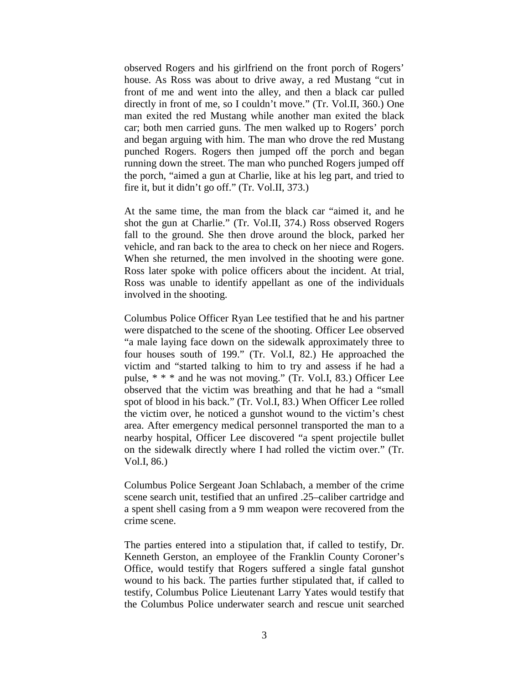observed Rogers and his girlfriend on the front porch of Rogers' house. As Ross was about to drive away, a red Mustang "cut in front of me and went into the alley, and then a black car pulled directly in front of me, so I couldn't move." (Tr. Vol.II, 360.) One man exited the red Mustang while another man exited the black car; both men carried guns. The men walked up to Rogers' porch and began arguing with him. The man who drove the red Mustang punched Rogers. Rogers then jumped off the porch and began running down the street. The man who punched Rogers jumped off the porch, "aimed a gun at Charlie, like at his leg part, and tried to fire it, but it didn't go off." (Tr. Vol.II, 373.)

At the same time, the man from the black car "aimed it, and he shot the gun at Charlie." (Tr. Vol.II, 374.) Ross observed Rogers fall to the ground. She then drove around the block, parked her vehicle, and ran back to the area to check on her niece and Rogers. When she returned, the men involved in the shooting were gone. Ross later spoke with police officers about the incident. At trial, Ross was unable to identify appellant as one of the individuals involved in the shooting.

Columbus Police Officer Ryan Lee testified that he and his partner were dispatched to the scene of the shooting. Officer Lee observed "a male laying face down on the sidewalk approximately three to four houses south of 199." (Tr. Vol.I, 82.) He approached the victim and "started talking to him to try and assess if he had a pulse, \* \* \* and he was not moving." (Tr. Vol.I, 83.) Officer Lee observed that the victim was breathing and that he had a "small spot of blood in his back." (Tr. Vol.I, 83.) When Officer Lee rolled the victim over, he noticed a gunshot wound to the victim's chest area. After emergency medical personnel transported the man to a nearby hospital, Officer Lee discovered "a spent projectile bullet on the sidewalk directly where I had rolled the victim over." (Tr. Vol.I, 86.)

Columbus Police Sergeant Joan Schlabach, a member of the crime scene search unit, testified that an unfired .25–caliber cartridge and a spent shell casing from a 9 mm weapon were recovered from the crime scene.

The parties entered into a stipulation that, if called to testify, Dr. Kenneth Gerston, an employee of the Franklin County Coroner's Office, would testify that Rogers suffered a single fatal gunshot wound to his back. The parties further stipulated that, if called to testify, Columbus Police Lieutenant Larry Yates would testify that the Columbus Police underwater search and rescue unit searched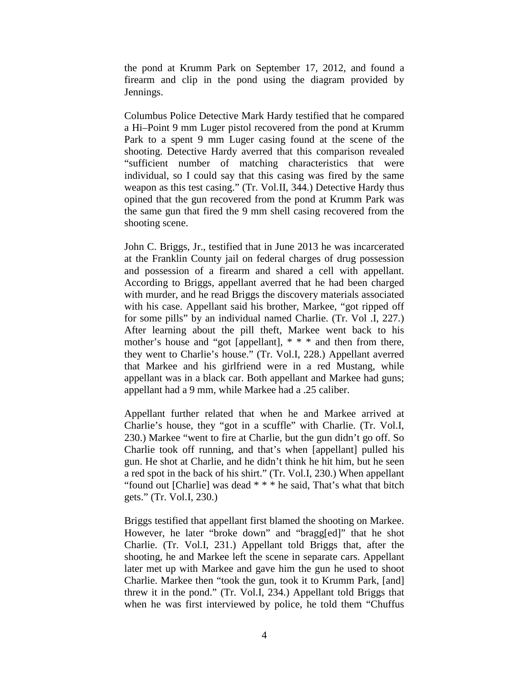the pond at Krumm Park on September 17, 2012, and found a firearm and clip in the pond using the diagram provided by Jennings.

Columbus Police Detective Mark Hardy testified that he compared a Hi–Point 9 mm Luger pistol recovered from the pond at Krumm Park to a spent 9 mm Luger casing found at the scene of the shooting. Detective Hardy averred that this comparison revealed "sufficient number of matching characteristics that were individual, so I could say that this casing was fired by the same weapon as this test casing." (Tr. Vol.II, 344.) Detective Hardy thus opined that the gun recovered from the pond at Krumm Park was the same gun that fired the 9 mm shell casing recovered from the shooting scene.

John C. Briggs, Jr., testified that in June 2013 he was incarcerated at the Franklin County jail on federal charges of drug possession and possession of a firearm and shared a cell with appellant. According to Briggs, appellant averred that he had been charged with murder, and he read Briggs the discovery materials associated with his case. Appellant said his brother, Markee, "got ripped off for some pills" by an individual named Charlie. (Tr. Vol .I, 227.) After learning about the pill theft, Markee went back to his mother's house and "got [appellant], \* \* \* and then from there, they went to Charlie's house." (Tr. Vol.I, 228.) Appellant averred that Markee and his girlfriend were in a red Mustang, while appellant was in a black car. Both appellant and Markee had guns; appellant had a 9 mm, while Markee had a .25 caliber.

Appellant further related that when he and Markee arrived at Charlie's house, they "got in a scuffle" with Charlie. (Tr. Vol.I, 230.) Markee "went to fire at Charlie, but the gun didn't go off. So Charlie took off running, and that's when [appellant] pulled his gun. He shot at Charlie, and he didn't think he hit him, but he seen a red spot in the back of his shirt." (Tr. Vol.I, 230.) When appellant "found out [Charlie] was dead \* \* \* he said, That's what that bitch gets." (Tr. Vol.I, 230.)

Briggs testified that appellant first blamed the shooting on Markee. However, he later "broke down" and "bragg[ed]" that he shot Charlie. (Tr. Vol.I, 231.) Appellant told Briggs that, after the shooting, he and Markee left the scene in separate cars. Appellant later met up with Markee and gave him the gun he used to shoot Charlie. Markee then "took the gun, took it to Krumm Park, [and] threw it in the pond." (Tr. Vol.I, 234.) Appellant told Briggs that when he was first interviewed by police, he told them "Chuffus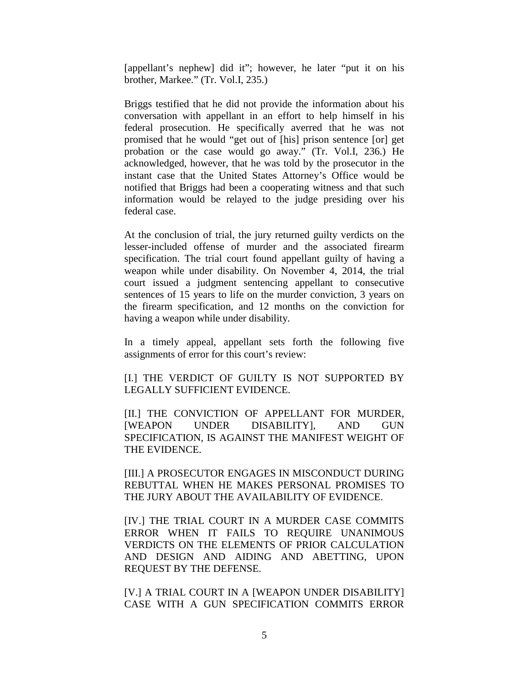[appellant's nephew] did it"; however, he later "put it on his brother, Markee." (Tr. Vol.I, 235.)

Briggs testified that he did not provide the information about his conversation with appellant in an effort to help himself in his federal prosecution. He specifically averred that he was not promised that he would "get out of [his] prison sentence [or] get probation or the case would go away." (Tr. Vol.I, 236.) He acknowledged, however, that he was told by the prosecutor in the instant case that the United States Attorney's Office would be notified that Briggs had been a cooperating witness and that such information would be relayed to the judge presiding over his federal case.

At the conclusion of trial, the jury returned guilty verdicts on the lesser-included offense of murder and the associated firearm specification. The trial court found appellant guilty of having a weapon while under disability. On November 4, 2014, the trial court issued a judgment sentencing appellant to consecutive sentences of 15 years to life on the murder conviction, 3 years on the firearm specification, and 12 months on the conviction for having a weapon while under disability.

In a timely appeal, appellant sets forth the following five assignments of error for this court's review:

[I.] THE VERDICT OF GUILTY IS NOT SUPPORTED BY LEGALLY SUFFICIENT EVIDENCE.

[II.] THE CONVICTION OF APPELLANT FOR MURDER, [WEAPON UNDER DISABILITY], AND GUN SPECIFICATION, IS AGAINST THE MANIFEST WEIGHT OF THE EVIDENCE.

[III.] A PROSECUTOR ENGAGES IN MISCONDUCT DURING REBUTTAL WHEN HE MAKES PERSONAL PROMISES TO THE JURY ABOUT THE AVAILABILITY OF EVIDENCE.

[IV.] THE TRIAL COURT IN A MURDER CASE COMMITS ERROR WHEN IT FAILS TO REQUIRE UNANIMOUS VERDICTS ON THE ELEMENTS OF PRIOR CALCULATION AND DESIGN AND AIDING AND ABETTING, UPON REQUEST BY THE DEFENSE.

[V.] A TRIAL COURT IN A [WEAPON UNDER DISABILITY] CASE WITH A GUN SPECIFICATION COMMITS ERROR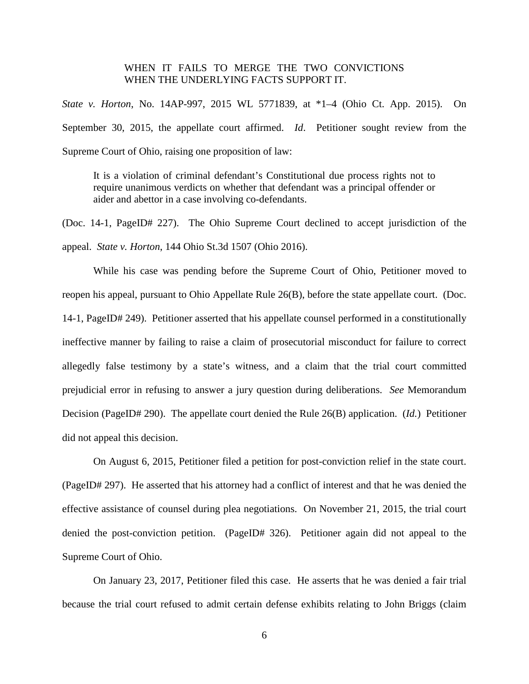# WHEN IT FAILS TO MERGE THE TWO CONVICTIONS WHEN THE UNDERLYING FACTS SUPPORT IT.

*State v. Horton*, No. 14AP-997, 2015 WL 5771839, at \*1–4 (Ohio Ct. App. 2015). On September 30, 2015, the appellate court affirmed. *Id*. Petitioner sought review from the Supreme Court of Ohio, raising one proposition of law:

It is a violation of criminal defendant's Constitutional due process rights not to require unanimous verdicts on whether that defendant was a principal offender or aider and abettor in a case involving co-defendants.

(Doc. 14-1, PageID# 227). The Ohio Supreme Court declined to accept jurisdiction of the appeal. *State v. Horton*, 144 Ohio St.3d 1507 (Ohio 2016).

While his case was pending before the Supreme Court of Ohio, Petitioner moved to reopen his appeal, pursuant to Ohio Appellate Rule 26(B), before the state appellate court. (Doc. 14-1, PageID# 249). Petitioner asserted that his appellate counsel performed in a constitutionally ineffective manner by failing to raise a claim of prosecutorial misconduct for failure to correct allegedly false testimony by a state's witness, and a claim that the trial court committed prejudicial error in refusing to answer a jury question during deliberations. *See* Memorandum Decision (PageID# 290). The appellate court denied the Rule 26(B) application. (*Id.*) Petitioner did not appeal this decision.

On August 6, 2015, Petitioner filed a petition for post-conviction relief in the state court. (PageID# 297). He asserted that his attorney had a conflict of interest and that he was denied the effective assistance of counsel during plea negotiations. On November 21, 2015, the trial court denied the post-conviction petition. (PageID# 326). Petitioner again did not appeal to the Supreme Court of Ohio.

On January 23, 2017, Petitioner filed this case. He asserts that he was denied a fair trial because the trial court refused to admit certain defense exhibits relating to John Briggs (claim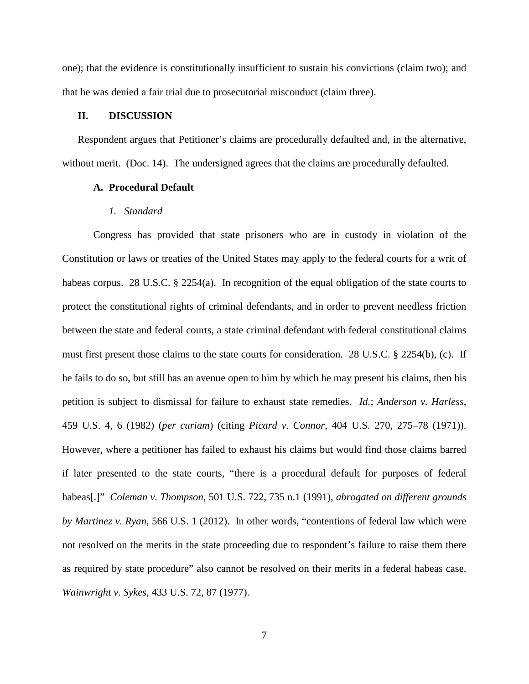one); that the evidence is constitutionally insufficient to sustain his convictions (claim two); and that he was denied a fair trial due to prosecutorial misconduct (claim three).

## **II. DISCUSSION**

Respondent argues that Petitioner's claims are procedurally defaulted and, in the alternative, without merit. (Doc. 14). The undersigned agrees that the claims are procedurally defaulted.

## **A. Procedural Default**

## *1. Standard*

Congress has provided that state prisoners who are in custody in violation of the Constitution or laws or treaties of the United States may apply to the federal courts for a writ of habeas corpus. 28 U.S.C. § 2254(a). In recognition of the equal obligation of the state courts to protect the constitutional rights of criminal defendants, and in order to prevent needless friction between the state and federal courts, a state criminal defendant with federal constitutional claims must first present those claims to the state courts for consideration. 28 U.S.C. § 2254(b), (c). If he fails to do so, but still has an avenue open to him by which he may present his claims, then his petition is subject to dismissal for failure to exhaust state remedies. *Id.*; *Anderson v. Harless*, 459 U.S. 4, 6 (1982) (*per curiam*) (citing *Picard v. Connor*, 404 U.S. 270, 275–78 (1971)). However, where a petitioner has failed to exhaust his claims but would find those claims barred if later presented to the state courts, "there is a procedural default for purposes of federal habeas[.]" *Coleman v. Thompson*, 501 U.S. 722, 735 n.1 (1991), *abrogated on different grounds by Martinez v. Ryan*, 566 U.S. 1 (2012). In other words, "contentions of federal law which were not resolved on the merits in the state proceeding due to respondent's failure to raise them there as required by state procedure" also cannot be resolved on their merits in a federal habeas case. *Wainwright v. Sykes*, 433 U.S. 72, 87 (1977).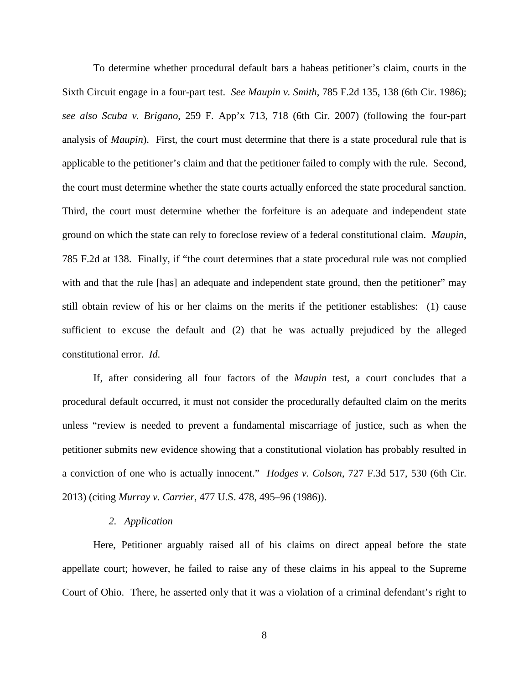To determine whether procedural default bars a habeas petitioner's claim, courts in the Sixth Circuit engage in a four-part test. *See Maupin v. Smith*, 785 F.2d 135, 138 (6th Cir. 1986); *see also Scuba v. Brigano*, 259 F. App'x 713, 718 (6th Cir. 2007) (following the four-part analysis of *Maupin*). First, the court must determine that there is a state procedural rule that is applicable to the petitioner's claim and that the petitioner failed to comply with the rule. Second, the court must determine whether the state courts actually enforced the state procedural sanction. Third, the court must determine whether the forfeiture is an adequate and independent state ground on which the state can rely to foreclose review of a federal constitutional claim. *Maupin*, 785 F.2d at 138. Finally, if "the court determines that a state procedural rule was not complied with and that the rule [has] an adequate and independent state ground, then the petitioner" may still obtain review of his or her claims on the merits if the petitioner establishes: (1) cause sufficient to excuse the default and (2) that he was actually prejudiced by the alleged constitutional error. *Id*.

If, after considering all four factors of the *Maupin* test, a court concludes that a procedural default occurred, it must not consider the procedurally defaulted claim on the merits unless "review is needed to prevent a fundamental miscarriage of justice, such as when the petitioner submits new evidence showing that a constitutional violation has probably resulted in a conviction of one who is actually innocent." *Hodges v. Colson*, 727 F.3d 517, 530 (6th Cir. 2013) (citing *Murray v. Carrier*, 477 U.S. 478, 495–96 (1986)).

### *2. Application*

Here, Petitioner arguably raised all of his claims on direct appeal before the state appellate court; however, he failed to raise any of these claims in his appeal to the Supreme Court of Ohio. There, he asserted only that it was a violation of a criminal defendant's right to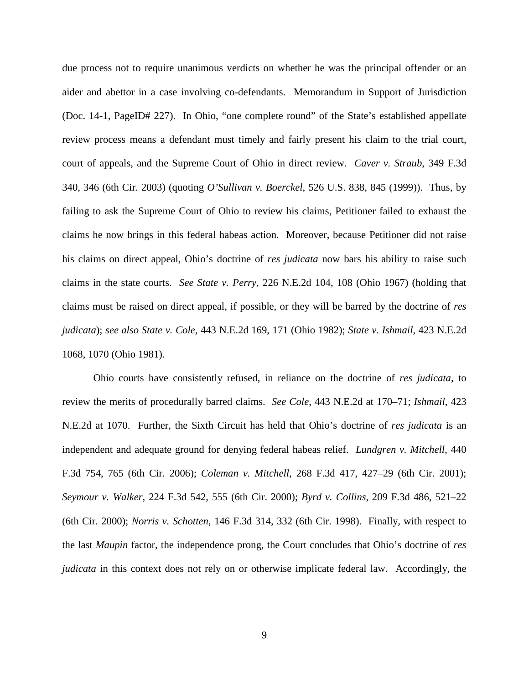due process not to require unanimous verdicts on whether he was the principal offender or an aider and abettor in a case involving co-defendants. Memorandum in Support of Jurisdiction (Doc. 14-1, PageID# 227). In Ohio, "one complete round" of the State's established appellate review process means a defendant must timely and fairly present his claim to the trial court, court of appeals, and the Supreme Court of Ohio in direct review. *Caver v. Straub*, 349 F.3d 340, 346 (6th Cir. 2003) (quoting *O'Sullivan v. Boerckel*, 526 U.S. 838, 845 (1999)). Thus, by failing to ask the Supreme Court of Ohio to review his claims, Petitioner failed to exhaust the claims he now brings in this federal habeas action. Moreover, because Petitioner did not raise his claims on direct appeal, Ohio's doctrine of *res judicata* now bars his ability to raise such claims in the state courts. *See State v. Perry*, 226 N.E.2d 104, 108 (Ohio 1967) (holding that claims must be raised on direct appeal, if possible, or they will be barred by the doctrine of *res judicata*); *see also State v. Cole*, 443 N.E.2d 169, 171 (Ohio 1982); *State v. Ishmail*, 423 N.E.2d 1068, 1070 (Ohio 1981).

Ohio courts have consistently refused, in reliance on the doctrine of *res judicata*, to review the merits of procedurally barred claims. *See Cole*, 443 N.E.2d at 170–71; *Ishmail*, 423 N.E.2d at 1070. Further, the Sixth Circuit has held that Ohio's doctrine of *res judicata* is an independent and adequate ground for denying federal habeas relief. *Lundgren v. Mitchell*, 440 F.3d 754, 765 (6th Cir. 2006); *Coleman v. Mitchell*, 268 F.3d 417, 427–29 (6th Cir. 2001); *Seymour v. Walker*, 224 F.3d 542, 555 (6th Cir. 2000); *Byrd v. Collins*, 209 F.3d 486, 521–22 (6th Cir. 2000); *Norris v. Schotten*, 146 F.3d 314, 332 (6th Cir. 1998). Finally, with respect to the last *Maupin* factor, the independence prong, the Court concludes that Ohio's doctrine of *res judicata* in this context does not rely on or otherwise implicate federal law. Accordingly, the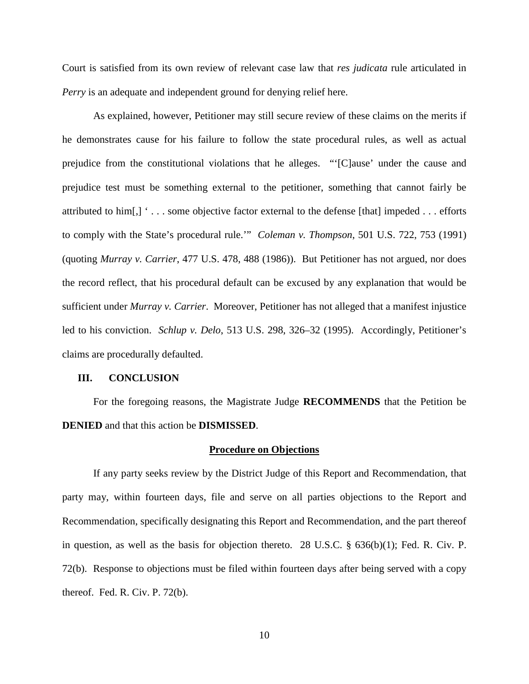Court is satisfied from its own review of relevant case law that *res judicata* rule articulated in *Perry* is an adequate and independent ground for denying relief here.

As explained, however, Petitioner may still secure review of these claims on the merits if he demonstrates cause for his failure to follow the state procedural rules, as well as actual prejudice from the constitutional violations that he alleges. "'[C]ause' under the cause and prejudice test must be something external to the petitioner, something that cannot fairly be attributed to him[,] ' . . . some objective factor external to the defense [that] impeded . . . efforts to comply with the State's procedural rule.'" *Coleman v. Thompson*, 501 U.S. 722, 753 (1991) (quoting *Murray v. Carrier*, 477 U.S. 478, 488 (1986)). But Petitioner has not argued, nor does the record reflect, that his procedural default can be excused by any explanation that would be sufficient under *Murray v. Carrier*. Moreover, Petitioner has not alleged that a manifest injustice led to his conviction. *Schlup v. Delo*, 513 U.S. 298, 326–32 (1995). Accordingly, Petitioner's claims are procedurally defaulted.

#### **III. CONCLUSION**

For the foregoing reasons, the Magistrate Judge **RECOMMENDS** that the Petition be **DENIED** and that this action be **DISMISSED**.

#### **Procedure on Objections**

If any party seeks review by the District Judge of this Report and Recommendation, that party may, within fourteen days, file and serve on all parties objections to the Report and Recommendation, specifically designating this Report and Recommendation, and the part thereof in question, as well as the basis for objection thereto. 28 U.S.C.  $\S$  636(b)(1); Fed. R. Civ. P. 72(b). Response to objections must be filed within fourteen days after being served with a copy thereof. Fed. R. Civ. P. 72(b).